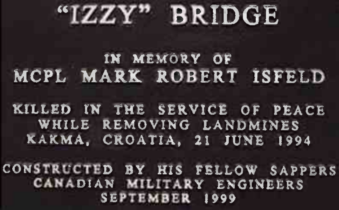

**IN** MEMORY OF MCPL **MARK** ROBERT ISFELD

KILLED *IN* THE SERVICE OF PEACE WHILE REMOVING LANDMINES KAKMA, CROATIA, 21 JUNE 1994

CONSTRUCTED BY HIS FELLOW SAPPERS CANADIAN MILITARY ENGINEERS SEPTEMBER I 999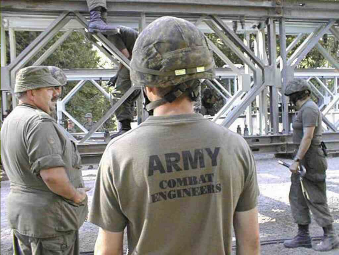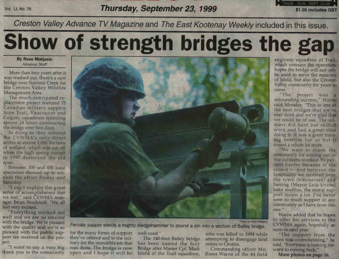## Vol. LI, No. 76 **Thursday, September 23, 1999 CONGRETE AND A SEPTEMBER 200.**

**\$1.00 includes GST** 

*Creston Valley Advance TV Magazine* **and** *The East Kootenay Weekly* **included in this issue.** 

## **Show of strength bridges the gap**

**By Rose Matjasic**  *Advance Staff* 

More than two years after it was washed out, there's a new bridge over Summit Creek for the Creston Valley Wildlife Management Area.

The much-anticipated replacement project featured 75 Canadian military sappers from Trail, Vancouver and Calgary squadrons spending almost 24 hours constructing the bridge over two days.

In doing so they restored the CVWMA's only direct access to almost 1,000 hectares of wetland, which was cut off when the high spring run-off in 1997 destroyed the old span.

Between 300 and 400 local spectators showed up to witness the effort Friday and Saturday.

"I can't explain the great sense of accomplishment that we feel," said CVWMA manager Brian Stushnoff. "We all feel very excited.

"Everything worked out well and we are so amazed with the bridge. We're pleased with the quality and we're so pleased with the public support we received on the project.

thank you to the community



Photo by Rose Matjasic Female sapper wields a mighty sledgehammer to pound a pin into a section of Bailey bridge.

"I want to say a very big was done. The bridge is now for the many forms of support they've offered and to the military for the incredible job that open and I hope it will be

well-used."

The 140-foot Bailey bridge has been named the Izzy Bridge after Master Cpl. Mark Isfeld of the Trail squadron,

who was killed in 1994 while attempting to disengage land mines in Croatia.

Commanding officer Maj. Brent Warne of the 44 field

engineer squadron of Trail, which oversaw the operation, hopes the bridge will not only be used to serve the memory of Isfeld, but also the Creston Valley community for years to come.

"The project was a resounding success," Warne said Monday. "This is one of the best bridges that we've the best bridges that we've<br>ever done and we're glad that we could be of use. The soldiers did hard but skilled work and had a great time doing it. It was a good training exercise for us but it meant a whole lot more.

we want to thank the<br>
community for coming out  $-\frac{1}{2}$ community for coming out —<br>the soldiers worked 50-percent harder because of the  $crowd - and between the$ hospitality we received from the town (businesses) and having (Mayor Lela Irvine) bake muffins, the moral support meant a lot. I've never seen so much support in any community as I have from this one."

Warne added that he hopes to offer his services to the CVWMA again, hopefully as soon as next year.

"The support from the town was overwhelming," he said. "Everyone is looking forward to coming back."

**More photos on page 16.**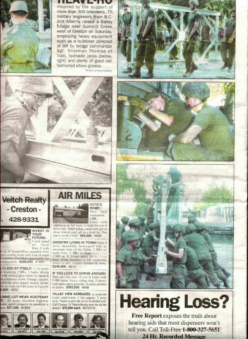

Inspired by the support of more than 300 onlookers, 75 military engineers from B.C. and Alberta raised a Bailey bridge over Summit Creek west of Creston on Saturday. employing heavy equipment such as a bulldozer (directed at left by bridge commander Sgt. Sharman Thomas of Trail), hydraulic jacks (below, right) and plenty of good oldfashioned elbow grease.

Phintips by Rose Metiasic









## **Hearing Loss?**

Free Report exposes the truth about hearing aids that most dispensers won't tell you. Call Toll-Free 1-800-327-5651

**24 Hr. Recorded Message** 





husy Hwy 3 with 0 sq. ft. home/office, potential bsmt plus mobile home pad. Lots of room

**Internation.** Excellent opportunity for CLASS BY ITSELF: 1 1/2 storey

e featuring 3 BRs, 3 baths, dining with sliding glass doors to sundeck h overlooks creek. Garage, carport, aldings plus rented mobile home. its & more on 5.84 acres in Canyon. 9,900 #802

LDING LOT NEAR KOOTENAY E: 63 acres, excellent highway sure, good property to establish a 537,500 #1654





**ESTATE** HOME: **This** well maintained.  $2 BR$ 

home with appliances & full bsmt. is ready for you to move into. Vinyl siding, metal roof, paved drive, fenced yard, all on a level lot. This<br>one is worth a look! \$94,500. #409

**COUNTRY LIVING IN TOWN! Over 2** acres, beautifully landscaped with an awesome view of the Valley. 3 BRs on main floor, 2 BRs in bamt with 1,900 sq. ft. living space on floor. Stone fireplace in LR, hardwood floors in den, country kitchen & more. \$249,900. #613

IF YOU LOVE TO HORSE AROUND: This one's for you! 19 acre in Lister with 3 BR home, barns, riding ring, 2 shops, well landscaped grounds, 16 acres planted to alfalfa. \$355,000. #848

VALLEY VIEW ACREAGES: in proposed Lister subdivision, 2 lots approx. 5 acres each. Vendor to provide access & drilled well. Call Century 21 Veitch Realty now for all the details! \$79,900 each. #215/216

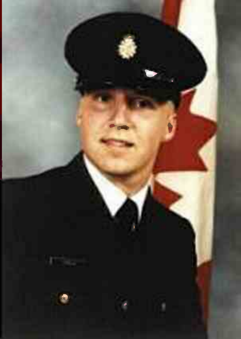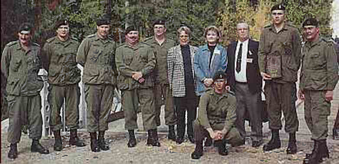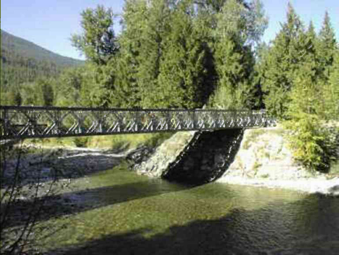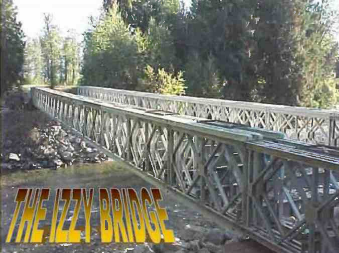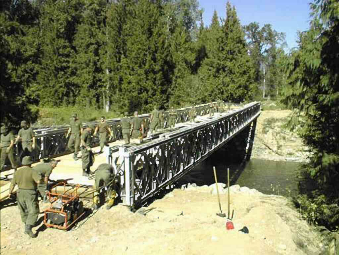